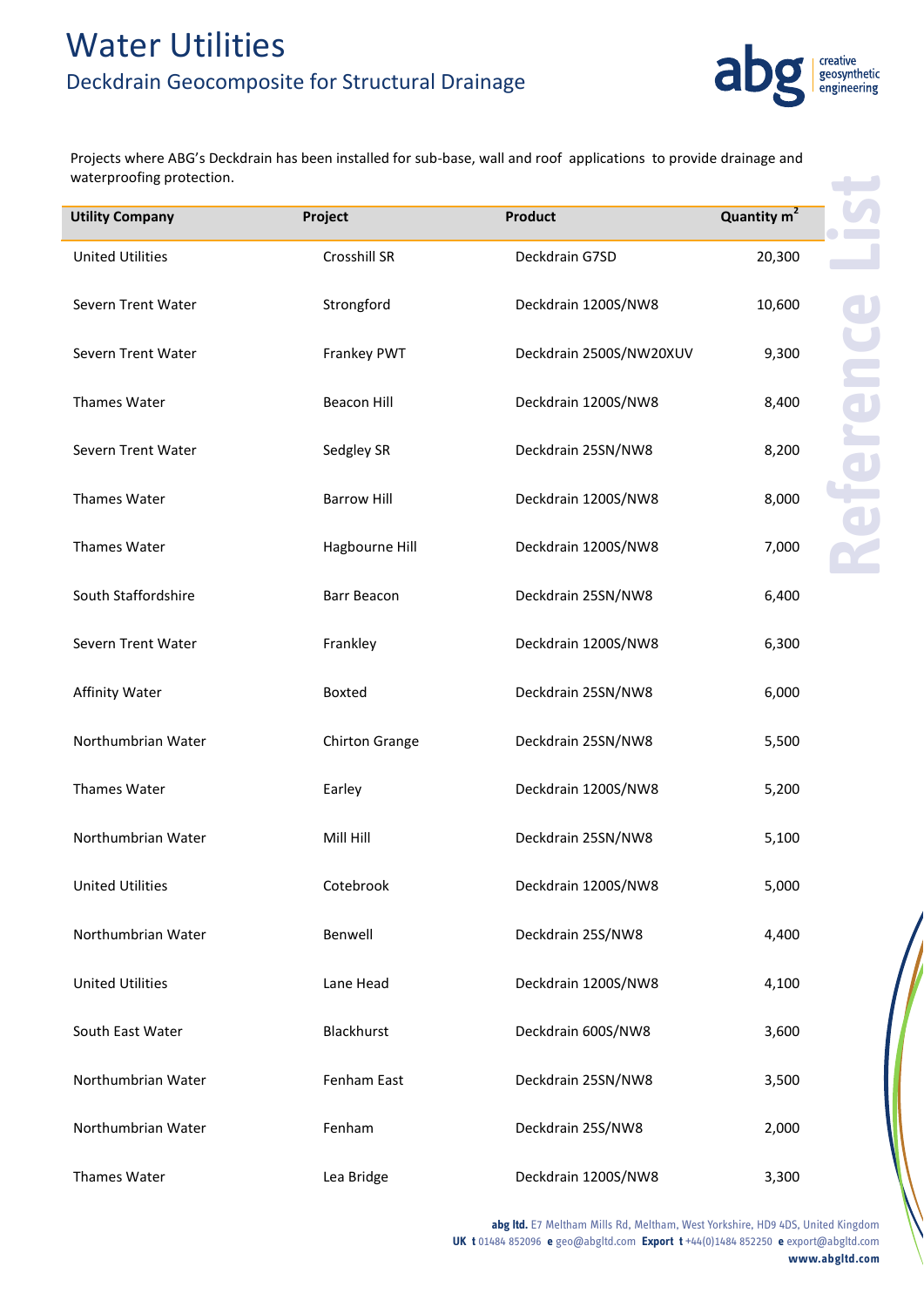

Projects where ABG's Deckdrain has been installed for sub-base, wall and roof applications to provide drainage and waterproofing protection.

| waterproofing protection. |                       |                         |                         |
|---------------------------|-----------------------|-------------------------|-------------------------|
| <b>Utility Company</b>    | Project               | <b>Product</b>          | Quantity m <sup>2</sup> |
| <b>United Utilities</b>   | Crosshill SR          | Deckdrain G7SD          | 20,300                  |
| Severn Trent Water        | Strongford            | Deckdrain 1200S/NW8     | 10,600                  |
| Severn Trent Water        | Frankey PWT           | Deckdrain 2500S/NW20XUV | 9,300                   |
| Thames Water              | <b>Beacon Hill</b>    | Deckdrain 1200S/NW8     | 8,400                   |
| Severn Trent Water        | Sedgley SR            | Deckdrain 25SN/NW8      | 8,200                   |
| <b>Thames Water</b>       | <b>Barrow Hill</b>    | Deckdrain 1200S/NW8     | 8,000                   |
| Thames Water              | Hagbourne Hill        | Deckdrain 1200S/NW8     | 7,000                   |
| South Staffordshire       | Barr Beacon           | Deckdrain 25SN/NW8      | 6,400                   |
| Severn Trent Water        | Frankley              | Deckdrain 1200S/NW8     | 6,300                   |
| <b>Affinity Water</b>     | Boxted                | Deckdrain 25SN/NW8      | 6,000                   |
| Northumbrian Water        | <b>Chirton Grange</b> | Deckdrain 25SN/NW8      | 5,500                   |
| Thames Water              | Earley                | Deckdrain 1200S/NW8     | 5,200                   |
| Northumbrian Water        | Mill Hill             | Deckdrain 25SN/NW8      | 5,100                   |
| <b>United Utilities</b>   | Cotebrook             | Deckdrain 1200S/NW8     | 5,000                   |
| Northumbrian Water        | Benwell               | Deckdrain 25S/NW8       | 4,400                   |
| <b>United Utilities</b>   | Lane Head             | Deckdrain 1200S/NW8     | 4,100                   |
| South East Water          | Blackhurst            | Deckdrain 600S/NW8      | 3,600                   |
| Northumbrian Water        | Fenham East           | Deckdrain 25SN/NW8      | 3,500                   |
| Northumbrian Water        | Fenham                | Deckdrain 25S/NW8       | 2,000                   |
| Thames Water              | Lea Bridge            | Deckdrain 1200S/NW8     | 3,300                   |

**abg ltd.** E7 Meltham Mills Rd, Meltham, West Yorkshire, HD9 4DS, United Kingdom **UK t** 01484 852096 **e** geo@abgltd.com **Export t** +44(0)1484 852250 **e** export@abgltd.com **www.abgltd.com**